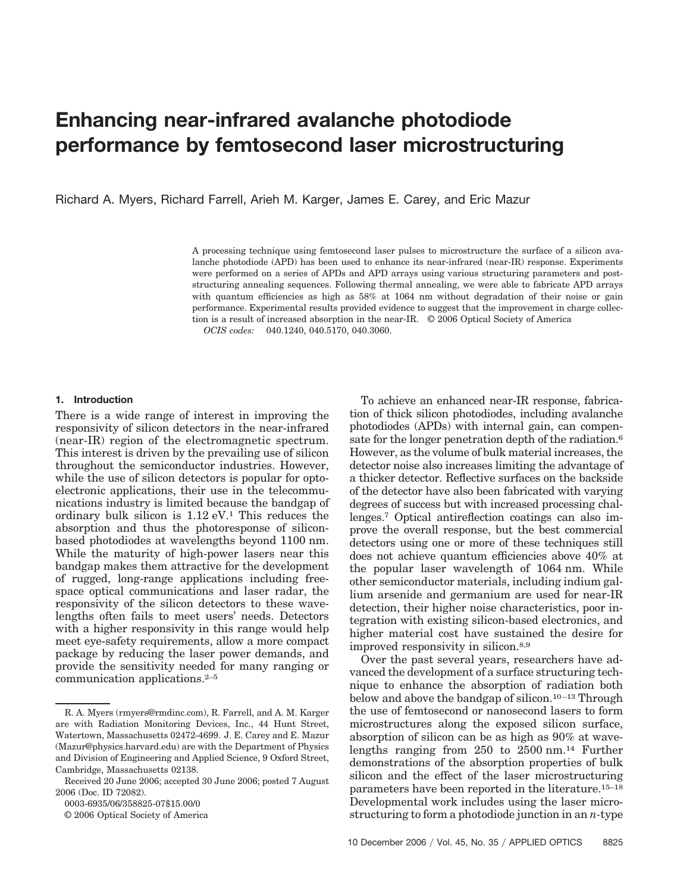# **Enhancing near-infrared avalanche photodiode performance by femtosecond laser microstructuring**

Richard A. Myers, Richard Farrell, Arieh M. Karger, James E. Carey, and Eric Mazur

A processing technique using femtosecond laser pulses to microstructure the surface of a silicon avalanche photodiode (APD) has been used to enhance its near-infrared (near-IR) response. Experiments were performed on a series of APDs and APD arrays using various structuring parameters and poststructuring annealing sequences. Following thermal annealing, we were able to fabricate APD arrays with quantum efficiencies as high as 58*%* at 1064 nm without degradation of their noise or gain performance. Experimental results provided evidence to suggest that the improvement in charge collection is a result of increased absorption in the near-IR. © 2006 Optical Society of America

*OCIS codes:* 040.1240, 040.5170, 040.3060.

#### **1. Introduction**

There is a wide range of interest in improving the responsivity of silicon detectors in the near-infrared (near-IR) region of the electromagnetic spectrum. This interest is driven by the prevailing use of silicon throughout the semiconductor industries. However, while the use of silicon detectors is popular for optoelectronic applications, their use in the telecommunications industry is limited because the bandgap of ordinary bulk silicon is 1.12 eV.1 This reduces the absorption and thus the photoresponse of siliconbased photodiodes at wavelengths beyond 1100 nm. While the maturity of high-power lasers near this bandgap makes them attractive for the development of rugged, long-range applications including freespace optical communications and laser radar, the responsivity of the silicon detectors to these wavelengths often fails to meet users' needs. Detectors with a higher responsivity in this range would help meet eye-safety requirements, allow a more compact package by reducing the laser power demands, and provide the sensitivity needed for many ranging or communication applications.2–5

0003-6935/06/358825-07\$15.00/0

© 2006 Optical Society of America

To achieve an enhanced near-IR response, fabrication of thick silicon photodiodes, including avalanche photodiodes (APDs) with internal gain, can compensate for the longer penetration depth of the radiation.<sup>6</sup> However, as the volume of bulk material increases, the detector noise also increases limiting the advantage of a thicker detector. Reflective surfaces on the backside of the detector have also been fabricated with varying degrees of success but with increased processing challenges.7 Optical antireflection coatings can also improve the overall response, but the best commercial detectors using one or more of these techniques still does not achieve quantum efficiencies above 40*%* at the popular laser wavelength of 1064 nm. While other semiconductor materials, including indium gallium arsenide and germanium are used for near-IR detection, their higher noise characteristics, poor integration with existing silicon-based electronics, and higher material cost have sustained the desire for improved responsivity in silicon.8,9

Over the past several years, researchers have advanced the development of a surface structuring technique to enhance the absorption of radiation both below and above the bandgap of silicon.<sup>10-13</sup> Through the use of femtosecond or nanosecond lasers to form microstructures along the exposed silicon surface, absorption of silicon can be as high as 90*%* at wavelengths ranging from 250 to 2500 nm.14 Further demonstrations of the absorption properties of bulk silicon and the effect of the laser microstructuring parameters have been reported in the literature.15–18 Developmental work includes using the laser microstructuring to form a photodiode junction in an *n-*type

R. A. Myers (rmyers@rmdinc.com), R. Farrell, and A. M. Karger are with Radiation Monitoring Devices, Inc., 44 Hunt Street, Watertown, Massachusetts 02472-4699. J. E. Carey and E. Mazur (Mazur@physics.harvard.edu) are with the Department of Physics and Division of Engineering and Applied Science, 9 Oxford Street, Cambridge, Massachusetts 02138.

Received 20 June 2006; accepted 30 June 2006; posted 7 August 2006 (Doc. ID 72082).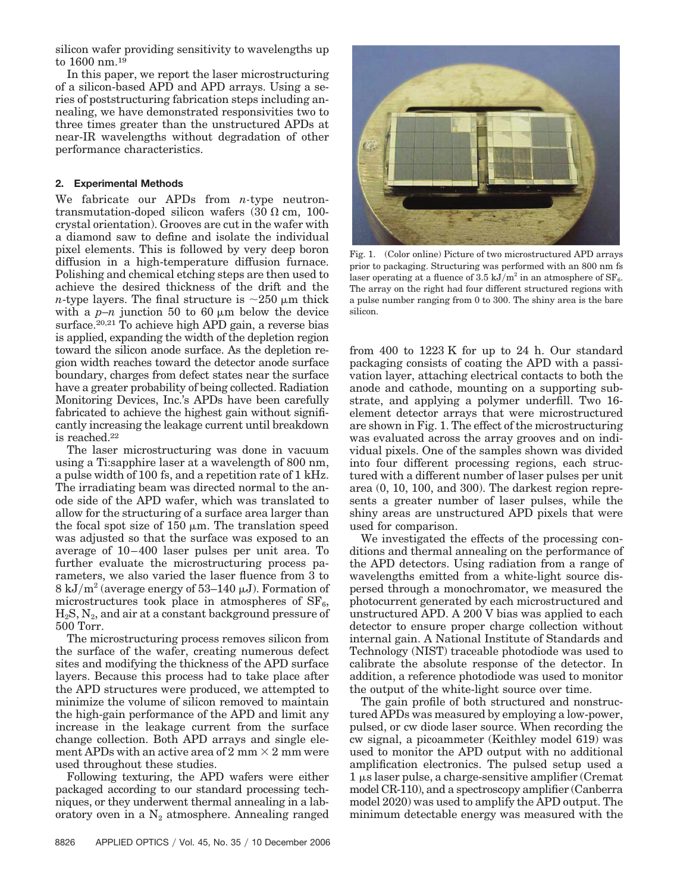silicon wafer providing sensitivity to wavelengths up to 1600 nm.19

In this paper, we report the laser microstructuring of a silicon-based APD and APD arrays. Using a series of poststructuring fabrication steps including annealing, we have demonstrated responsivities two to three times greater than the unstructured APDs at near-IR wavelengths without degradation of other performance characteristics.

## **2. Experimental Methods**

We fabricate our APDs from *n-*type neutrontransmutation-doped silicon wafers  $(30 \Omega \text{ cm}, 100$ crystal orientation). Grooves are cut in the wafer with a diamond saw to define and isolate the individual pixel elements. This is followed by very deep boron diffusion in a high-temperature diffusion furnace. Polishing and chemical etching steps are then used to achieve the desired thickness of the drift and the *n*-type layers. The final structure is  $\sim$ 250  $\mu$ m thick with a  $p-n$  junction 50 to 60  $\mu$ m below the device surface.<sup>20,21</sup> To achieve high APD gain, a reverse bias is applied, expanding the width of the depletion region toward the silicon anode surface. As the depletion region width reaches toward the detector anode surface boundary, charges from defect states near the surface have a greater probability of being collected. Radiation Monitoring Devices, Inc.'s APDs have been carefully fabricated to achieve the highest gain without significantly increasing the leakage current until breakdown is reached.22

The laser microstructuring was done in vacuum using a Ti:sapphire laser at a wavelength of 800 nm, a pulse width of 100 fs, and a repetition rate of 1 kHz. The irradiating beam was directed normal to the anode side of the APD wafer, which was translated to allow for the structuring of a surface area larger than the focal spot size of  $150 \mu m$ . The translation speed was adjusted so that the surface was exposed to an average of 10 – 400 laser pulses per unit area. To further evaluate the microstructuring process parameters, we also varied the laser fluence from 3 to 8 kJ/m<sup>2</sup> (average energy of 53–140  $\mu$ J). Formation of microstructures took place in atmospheres of  $SF<sub>6</sub>$ ,  $H_2S$ ,  $N_2$ , and air at a constant background pressure of 500 Torr.

The microstructuring process removes silicon from the surface of the wafer, creating numerous defect sites and modifying the thickness of the APD surface layers. Because this process had to take place after the APD structures were produced, we attempted to minimize the volume of silicon removed to maintain the high-gain performance of the APD and limit any increase in the leakage current from the surface change collection. Both APD arrays and single element APDs with an active area of 2 mm  $\times$  2 mm were used throughout these studies.

Following texturing, the APD wafers were either packaged according to our standard processing techniques, or they underwent thermal annealing in a laboratory oven in a  $N_2$  atmosphere. Annealing ranged



Fig. 1. (Color online) Picture of two microstructured APD arrays prior to packaging. Structuring was performed with an 800 nm fs laser operating at a fluence of 3.5 kJ/m<sup>2</sup> in an atmosphere of  $SF<sub>6</sub>$ . The array on the right had four different structured regions with a pulse number ranging from 0 to 300. The shiny area is the bare silicon.

from 400 to 1223 K for up to 24 h. Our standard packaging consists of coating the APD with a passivation layer, attaching electrical contacts to both the anode and cathode, mounting on a supporting substrate, and applying a polymer underfill. Two 16 element detector arrays that were microstructured are shown in Fig. 1. The effect of the microstructuring was evaluated across the array grooves and on individual pixels. One of the samples shown was divided into four different processing regions, each structured with a different number of laser pulses per unit area (0, 10, 100, and 300). The darkest region represents a greater number of laser pulses, while the shiny areas are unstructured APD pixels that were used for comparison.

We investigated the effects of the processing conditions and thermal annealing on the performance of the APD detectors. Using radiation from a range of wavelengths emitted from a white-light source dispersed through a monochromator, we measured the photocurrent generated by each microstructured and unstructured APD. A 200 V bias was applied to each detector to ensure proper charge collection without internal gain. A National Institute of Standards and Technology (NIST) traceable photodiode was used to calibrate the absolute response of the detector. In addition, a reference photodiode was used to monitor the output of the white-light source over time.

The gain profile of both structured and nonstructured APDs was measured by employing a low-power, pulsed, or cw diode laser source. When recording the cw signal, a picoammeter (Keithley model 619) was used to monitor the APD output with no additional amplification electronics. The pulsed setup used a  $1 \mu s$  laser pulse, a charge-sensitive amplifier (Cremat model CR-110), and a spectroscopy amplifier (Canberra model 2020) was used to amplify the APD output. The minimum detectable energy was measured with the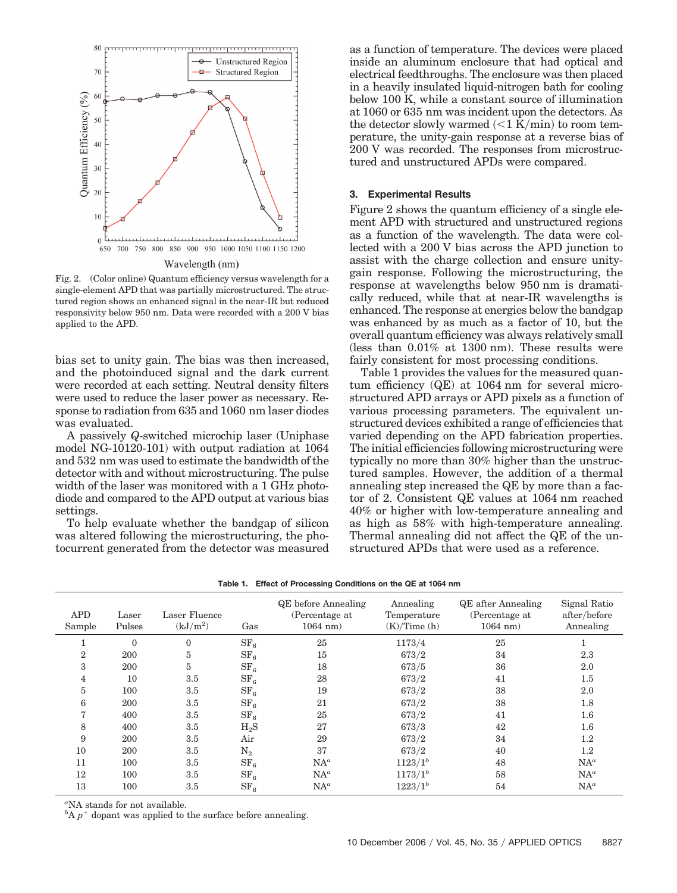

Fig. 2. (Color online) Quantum efficiency versus wavelength for a single-element APD that was partially microstructured. The structured region shows an enhanced signal in the near-IR but reduced responsivity below 950 nm. Data were recorded with a 200 V bias applied to the APD.

bias set to unity gain. The bias was then increased, and the photoinduced signal and the dark current were recorded at each setting. Neutral density filters were used to reduce the laser power as necessary. Response to radiation from 635 and 1060 nm laser diodes was evaluated.

A passively *Q*-switched microchip laser (Uniphase model NG-10120-101) with output radiation at 1064 and 532 nm was used to estimate the bandwidth of the detector with and without microstructuring. The pulse width of the laser was monitored with a 1 GHz photodiode and compared to the APD output at various bias settings.

To help evaluate whether the bandgap of silicon was altered following the microstructuring, the photocurrent generated from the detector was measured as a function of temperature. The devices were placed inside an aluminum enclosure that had optical and electrical feedthroughs. The enclosure was then placed in a heavily insulated liquid-nitrogen bath for cooling below 100 K, while a constant source of illumination at 1060 or 635 nm was incident upon the detectors. As the detector slowly warmed  $\left($  < 1 K/min) to room temperature, the unity-gain response at a reverse bias of 200 V was recorded. The responses from microstructured and unstructured APDs were compared.

### **3. Experimental Results**

Figure 2 shows the quantum efficiency of a single element APD with structured and unstructured regions as a function of the wavelength. The data were collected with a 200 V bias across the APD junction to assist with the charge collection and ensure unitygain response. Following the microstructuring, the response at wavelengths below 950 nm is dramatically reduced, while that at near-IR wavelengths is enhanced. The response at energies below the bandgap was enhanced by as much as a factor of 10, but the overall quantum efficiency was always relatively small (less than 0.01*%* at 1300 nm). These results were fairly consistent for most processing conditions.

Table 1 provides the values for the measured quantum efficiency (QE) at 1064 nm for several microstructured APD arrays or APD pixels as a function of various processing parameters. The equivalent unstructured devices exhibited a range of efficiencies that varied depending on the APD fabrication properties. The initial efficiencies following microstructuring were typically no more than 30*%* higher than the unstructured samples. However, the addition of a thermal annealing step increased the QE by more than a factor of 2. Consistent QE values at 1064 nm reached 40*%* or higher with low-temperature annealing and as high as 58*%* with high-temperature annealing. Thermal annealing did not affect the QE of the unstructured APDs that were used as a reference.

| <b>APD</b><br>Sample | $_{\rm Laser}$<br>Pulses | Laser Fluence<br>$(kJ/m^2)$ | Gas             | <b>QE</b> before Annealing<br>(Percentage at<br>$1064$ nm) | Annealing<br>Temperature<br>(K)/Time(h) | <b>QE</b> after Annealing<br>(Percentage at<br>$1064$ nm) | Signal Ratio<br>after/before<br>Annealing |
|----------------------|--------------------------|-----------------------------|-----------------|------------------------------------------------------------|-----------------------------------------|-----------------------------------------------------------|-------------------------------------------|
|                      | $\mathbf{0}$             | $\Omega$                    | SF <sub>6</sub> | 25                                                         | 1173/4                                  | 25                                                        |                                           |
| $\overline{2}$       | 200                      | 5                           | SF <sub>6</sub> | 15                                                         | 673/2                                   | 34                                                        | 2.3                                       |
| 3                    | 200                      | 5                           | SF <sub>6</sub> | 18                                                         | 673/5                                   | 36                                                        | 2.0                                       |
| 4                    | 10                       | 3.5                         | SF <sub>6</sub> | 28                                                         | 673/2                                   | 41                                                        | $1.5\,$                                   |
| 5                    | 100                      | 3.5                         | SF <sub>6</sub> | 19                                                         | 673/2                                   | 38                                                        | 2.0                                       |
| 6                    | 200                      | 3.5                         | SF <sub>6</sub> | 21                                                         | 673/2                                   | 38                                                        | 1.8                                       |
| 7                    | 400                      | 3.5                         | SF <sub>6</sub> | 25                                                         | 673/2                                   | 41                                                        | 1.6                                       |
| 8                    | 400                      | $3.5\,$                     | $H_2S$          | 27                                                         | 673/3                                   | 42                                                        | 1.6                                       |
| 9                    | 200                      | 3.5                         | Air             | 29                                                         | 673/2                                   | 34                                                        | 1.2                                       |
| 10                   | 200                      | 3.5                         | $\mathrm{N}_2$  | 37                                                         | 673/2                                   | 40                                                        | $1.2\,$                                   |
| 11                   | 100                      | 3.5                         | SF <sub>6</sub> | $NA^a$                                                     | $1123/1^{b}$                            | 48                                                        | $NA^a$                                    |
| 12                   | 100                      | 3.5                         | SF <sub>6</sub> | $NA^a$                                                     | $1173/1^{b}$                            | 58                                                        | $NA^a$                                    |
| 13                   | 100                      | 3.5                         | SF <sub>6</sub> | $NA^a$                                                     | $1223/1^{b}$                            | 54                                                        | $NA^a$                                    |

**Table 1. Effect of Processing Conditions on the QE at 1064 nm**

*a* NA stands for not available.

 ${}^{b}$ A  $p$ <sup>+</sup> dopant was applied to the surface before annealing.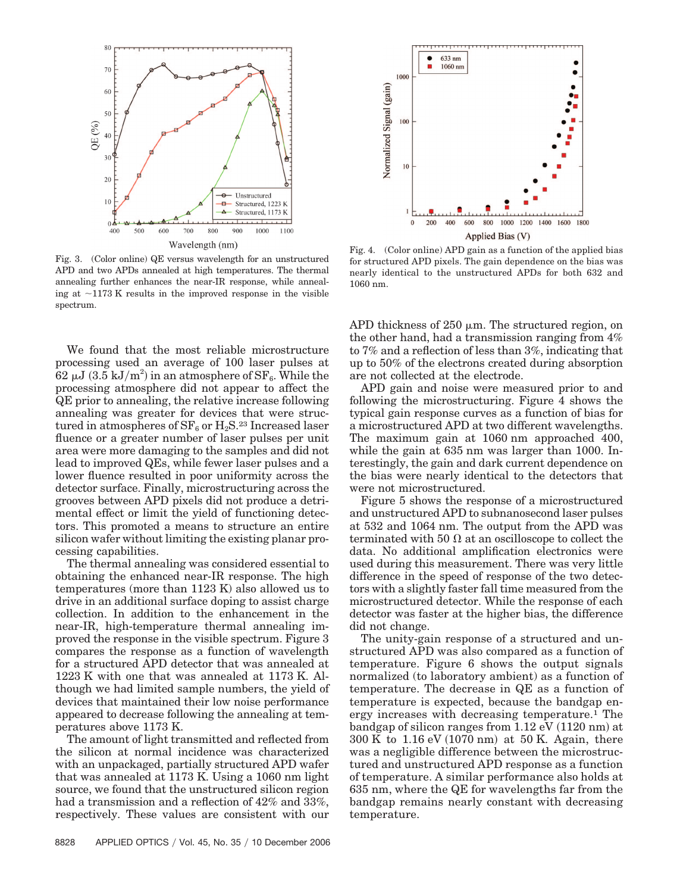

Fig. 3. (Color online) QE versus wavelength for an unstructured APD and two APDs annealed at high temperatures. The thermal annealing further enhances the near-IR response, while annealing at  $\sim$ 1173 K results in the improved response in the visible spectrum.

We found that the most reliable microstructure processing used an average of 100 laser pulses at  $62 \mu J$   $(3.5 \text{ kJ/m}^2)$  in an atmosphere of  $SF_6$ . While the processing atmosphere did not appear to affect the QE prior to annealing, the relative increase following annealing was greater for devices that were structured in atmospheres of  $SF_6$  or  $H_2S^{23}$  Increased laser fluence or a greater number of laser pulses per unit area were more damaging to the samples and did not lead to improved QEs, while fewer laser pulses and a lower fluence resulted in poor uniformity across the detector surface. Finally, microstructuring across the grooves between APD pixels did not produce a detrimental effect or limit the yield of functioning detectors. This promoted a means to structure an entire silicon wafer without limiting the existing planar processing capabilities.

The thermal annealing was considered essential to obtaining the enhanced near-IR response. The high temperatures (more than 1123 K) also allowed us to drive in an additional surface doping to assist charge collection. In addition to the enhancement in the near-IR, high-temperature thermal annealing improved the response in the visible spectrum. Figure 3 compares the response as a function of wavelength for a structured APD detector that was annealed at 1223 K with one that was annealed at 1173 K. Although we had limited sample numbers, the yield of devices that maintained their low noise performance appeared to decrease following the annealing at temperatures above 1173 K.

The amount of light transmitted and reflected from the silicon at normal incidence was characterized with an unpackaged, partially structured APD wafer that was annealed at 1173 K. Using a 1060 nm light source, we found that the unstructured silicon region had a transmission and a reflection of 42*%* and 33*%*, respectively. These values are consistent with our



Fig. 4. (Color online) APD gain as a function of the applied bias for structured APD pixels. The gain dependence on the bias was nearly identical to the unstructured APDs for both 632 and 1060 nm.

APD thickness of  $250 \mu m$ . The structured region, on the other hand, had a transmission ranging from 4*%* to 7*%* and a reflection of less than 3*%*, indicating that up to 50*%* of the electrons created during absorption are not collected at the electrode.

APD gain and noise were measured prior to and following the microstructuring. Figure 4 shows the typical gain response curves as a function of bias for a microstructured APD at two different wavelengths. The maximum gain at 1060 nm approached 400, while the gain at 635 nm was larger than 1000. Interestingly, the gain and dark current dependence on the bias were nearly identical to the detectors that were not microstructured.

Figure 5 shows the response of a microstructured and unstructured APD to subnanosecond laser pulses at 532 and 1064 nm. The output from the APD was terminated with 50  $\Omega$  at an oscilloscope to collect the data. No additional amplification electronics were used during this measurement. There was very little difference in the speed of response of the two detectors with a slightly faster fall time measured from the microstructured detector. While the response of each detector was faster at the higher bias, the difference did not change.

The unity-gain response of a structured and unstructured APD was also compared as a function of temperature. Figure 6 shows the output signals normalized (to laboratory ambient) as a function of temperature. The decrease in QE as a function of temperature is expected, because the bandgap energy increases with decreasing temperature.1 The bandgap of silicon ranges from  $1.12 \text{ eV}$  (1120 nm) at  $300 \text{ K}$  to  $1.16 \text{ eV}$  (1070 nm) at 50 K. Again, there was a negligible difference between the microstructured and unstructured APD response as a function of temperature. A similar performance also holds at 635 nm, where the QE for wavelengths far from the bandgap remains nearly constant with decreasing temperature.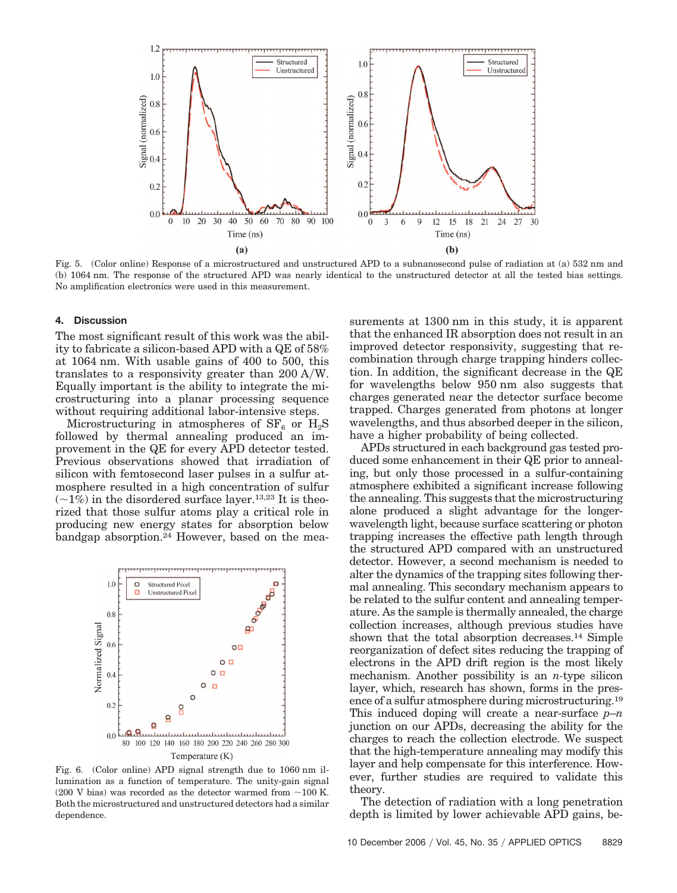

Fig. 5. (Color online) Response of a microstructured and unstructured APD to a subnanosecond pulse of radiation at (a) 532 nm and (b) 1064 nm. The response of the structured APD was nearly identical to the unstructured detector at all the tested bias settings. No amplification electronics were used in this measurement.

#### **4. Discussion**

The most significant result of this work was the ability to fabricate a silicon-based APD with a QE of 58*%* at 1064 nm. With usable gains of 400 to 500, this translates to a responsivity greater than 200 AW. Equally important is the ability to integrate the microstructuring into a planar processing sequence without requiring additional labor-intensive steps.

Microstructuring in atmospheres of  $SF_6$  or  $H_2S$ followed by thermal annealing produced an improvement in the QE for every APD detector tested. Previous observations showed that irradiation of silicon with femtosecond laser pulses in a sulfur atmosphere resulted in a high concentration of sulfur  $(\sim 1\%)$  in the disordered surface layer.<sup>13,23</sup> It is theorized that those sulfur atoms play a critical role in producing new energy states for absorption below bandgap absorption.24 However, based on the mea-



Fig. 6. (Color online) APD signal strength due to 1060 nm illumination as a function of temperature. The unity-gain signal  $(200 \text{ V bias})$  was recorded as the detector warmed from  $\sim$ 100 K. Both the microstructured and unstructured detectors had a similar dependence.

surements at 1300 nm in this study, it is apparent that the enhanced IR absorption does not result in an improved detector responsivity, suggesting that recombination through charge trapping hinders collection. In addition, the significant decrease in the QE for wavelengths below 950 nm also suggests that charges generated near the detector surface become trapped. Charges generated from photons at longer wavelengths, and thus absorbed deeper in the silicon, have a higher probability of being collected.

APDs structured in each background gas tested produced some enhancement in their QE prior to annealing, but only those processed in a sulfur-containing atmosphere exhibited a significant increase following the annealing. This suggests that the microstructuring alone produced a slight advantage for the longerwavelength light, because surface scattering or photon trapping increases the effective path length through the structured APD compared with an unstructured detector. However, a second mechanism is needed to alter the dynamics of the trapping sites following thermal annealing. This secondary mechanism appears to be related to the sulfur content and annealing temperature. As the sample is thermally annealed, the charge collection increases, although previous studies have shown that the total absorption decreases.14 Simple reorganization of defect sites reducing the trapping of electrons in the APD drift region is the most likely mechanism. Another possibility is an *n-*type silicon layer, which, research has shown, forms in the presence of a sulfur atmosphere during microstructuring.19 This induced doping will create a near-surface *p*–*n* junction on our APDs, decreasing the ability for the charges to reach the collection electrode. We suspect that the high-temperature annealing may modify this layer and help compensate for this interference. However, further studies are required to validate this theory.

The detection of radiation with a long penetration depth is limited by lower achievable APD gains, be-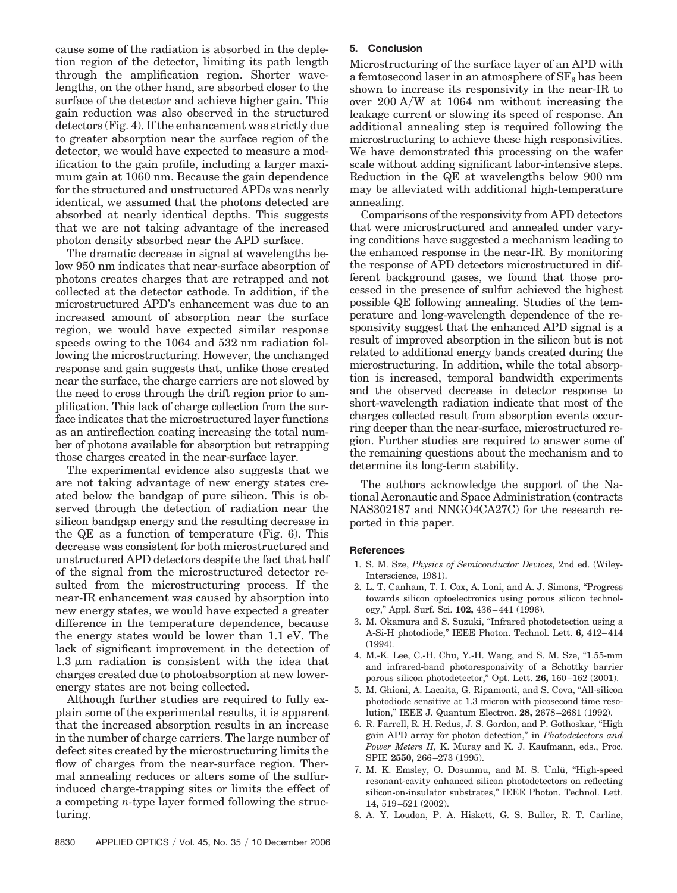cause some of the radiation is absorbed in the depletion region of the detector, limiting its path length through the amplification region. Shorter wavelengths, on the other hand, are absorbed closer to the surface of the detector and achieve higher gain. This gain reduction was also observed in the structured detectors (Fig. 4). If the enhancement was strictly due to greater absorption near the surface region of the detector, we would have expected to measure a modification to the gain profile, including a larger maximum gain at 1060 nm. Because the gain dependence for the structured and unstructured APDs was nearly identical, we assumed that the photons detected are absorbed at nearly identical depths. This suggests that we are not taking advantage of the increased photon density absorbed near the APD surface.

The dramatic decrease in signal at wavelengths below 950 nm indicates that near-surface absorption of photons creates charges that are retrapped and not collected at the detector cathode. In addition, if the microstructured APD's enhancement was due to an increased amount of absorption near the surface region, we would have expected similar response speeds owing to the 1064 and 532 nm radiation following the microstructuring. However, the unchanged response and gain suggests that, unlike those created near the surface, the charge carriers are not slowed by the need to cross through the drift region prior to amplification. This lack of charge collection from the surface indicates that the microstructured layer functions as an antireflection coating increasing the total number of photons available for absorption but retrapping those charges created in the near-surface layer.

The experimental evidence also suggests that we are not taking advantage of new energy states created below the bandgap of pure silicon. This is observed through the detection of radiation near the silicon bandgap energy and the resulting decrease in the QE as a function of temperature (Fig. 6). This decrease was consistent for both microstructured and unstructured APD detectors despite the fact that half of the signal from the microstructured detector resulted from the microstructuring process. If the near-IR enhancement was caused by absorption into new energy states, we would have expected a greater difference in the temperature dependence, because the energy states would be lower than 1.1 eV. The lack of significant improvement in the detection of  $1.3 \mu m$  radiation is consistent with the idea that charges created due to photoabsorption at new lowerenergy states are not being collected.

Although further studies are required to fully explain some of the experimental results, it is apparent that the increased absorption results in an increase in the number of charge carriers. The large number of defect sites created by the microstructuring limits the flow of charges from the near-surface region. Thermal annealing reduces or alters some of the sulfurinduced charge-trapping sites or limits the effect of a competing *n-*type layer formed following the structuring.

# **5. Conclusion**

Microstructuring of the surface layer of an APD with a femtosecond laser in an atmosphere of  $SF_6$  has been shown to increase its responsivity in the near-IR to over 200 AW at 1064 nm without increasing the leakage current or slowing its speed of response. An additional annealing step is required following the microstructuring to achieve these high responsivities. We have demonstrated this processing on the wafer scale without adding significant labor-intensive steps. Reduction in the QE at wavelengths below 900 nm may be alleviated with additional high-temperature annealing.

Comparisons of the responsivity from APD detectors that were microstructured and annealed under varying conditions have suggested a mechanism leading to the enhanced response in the near-IR. By monitoring the response of APD detectors microstructured in different background gases, we found that those processed in the presence of sulfur achieved the highest possible QE following annealing. Studies of the temperature and long-wavelength dependence of the responsivity suggest that the enhanced APD signal is a result of improved absorption in the silicon but is not related to additional energy bands created during the microstructuring. In addition, while the total absorption is increased, temporal bandwidth experiments and the observed decrease in detector response to short-wavelength radiation indicate that most of the charges collected result from absorption events occurring deeper than the near-surface, microstructured region. Further studies are required to answer some of the remaining questions about the mechanism and to determine its long-term stability.

The authors acknowledge the support of the National Aeronautic and Space Administration (contracts NAS302187 and NNGO4CA27C) for the research reported in this paper.

#### **References**

- 1. S. M. Sze, *Physics of Semiconductor Devices,* 2nd ed. (Wiley-Interscience, 1981).
- 2. L. T. Canham, T. I. Cox, A. Loni, and A. J. Simons, "Progress towards silicon optoelectronics using porous silicon technology," Appl. Surf. Sci. **102,** 436 – 441 (1996).
- 3. M. Okamura and S. Suzuki, "Infrared photodetection using a A-Si-H photodiode," IEEE Photon. Technol. Lett. **6,** 412– 414  $(1994)$ .
- 4. M.-K. Lee, C.-H. Chu, Y.-H. Wang, and S. M. Sze, "1.55-mm and infrared-band photoresponsivity of a Schottky barrier porous silicon photodetector," Opt. Lett. **26,** 160 –162 (2001).
- 5. M. Ghioni, A. Lacaita, G. Ripamonti, and S. Cova, "All-silicon photodiode sensitive at 1.3 micron with picosecond time resolution," IEEE J. Quantum Electron. **28,** 2678 –2681 (1992).
- 6. R. Farrell, R. H. Redus, J. S. Gordon, and P. Gothoskar, "High gain APD array for photon detection," in *Photodetectors and Power Meters II,* K. Muray and K. J. Kaufmann, eds., Proc. SPIE **2550,** 266 –273 (1995).
- 7. M. K. Emsley, O. Dosunmu, and M. S. Ünlü, "High-speed resonant-cavity enhanced silicon photodetectors on reflecting silicon-on-insulator substrates," IEEE Photon. Technol. Lett. **14,** 519 –521 (2002).
- 8. A. Y. Loudon, P. A. Hiskett, G. S. Buller, R. T. Carline,